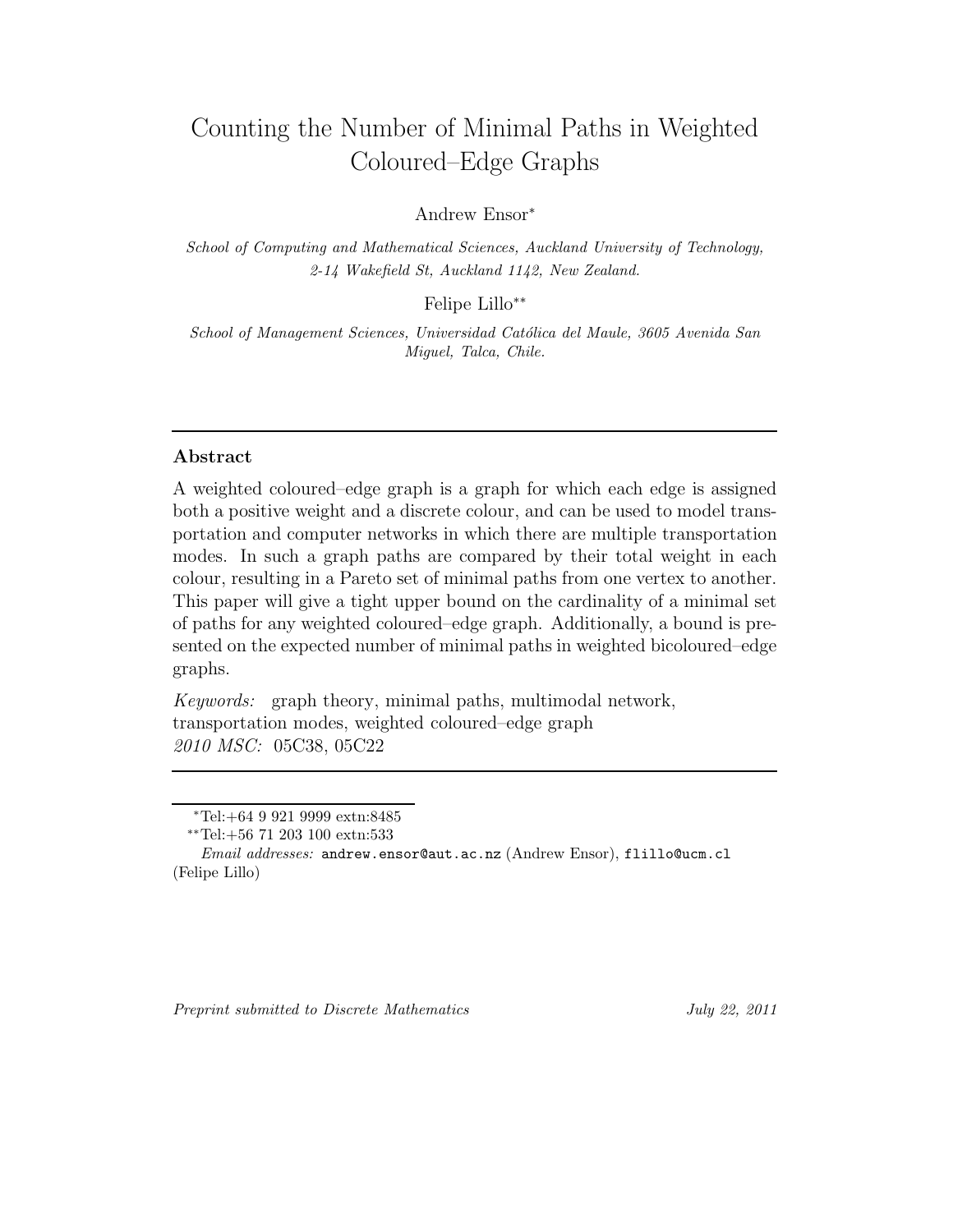# Counting the Number of Minimal Paths in Weighted Coloured–Edge Graphs

Andrew Ensor<sup>∗</sup>

*School of Computing and Mathematical Sciences, Auckland University of Technology, 2-14 Wakefield St, Auckland 1142, New Zealand.*

Felipe Lillo∗∗

*School of Management Sciences, Universidad Cat´olica del Maule, 3605 Avenida San Miguel, Talca, Chile.*

# **Abstract**

A weighted coloured–edge graph is a graph for which each edge is assigned both a positive weight and a discrete colour, and can be used to model transportation and computer networks in which there are multiple transportation modes. In such a graph paths are compared by their total weight in each colour, resulting in a Pareto set of minimal paths from one vertex to another. This paper will give a tight upper bound on the cardinality of a minimal set of paths for any weighted coloured–edge graph. Additionally, a bound is presented on the expected number of minimal paths in weighted bicoloured–edge graphs.

*Keywords:* graph theory, minimal paths, multimodal network, transportation modes, weighted coloured–edge graph *2010 MSC:* 05C38, 05C22

<sup>∗</sup>Tel:+64 9 921 9999 extn:8485

<sup>∗∗</sup>Tel:+56 71 203 100 extn:533

*Email addresses:* andrew.ensor@aut.ac.nz (Andrew Ensor), flillo@ucm.cl (Felipe Lillo)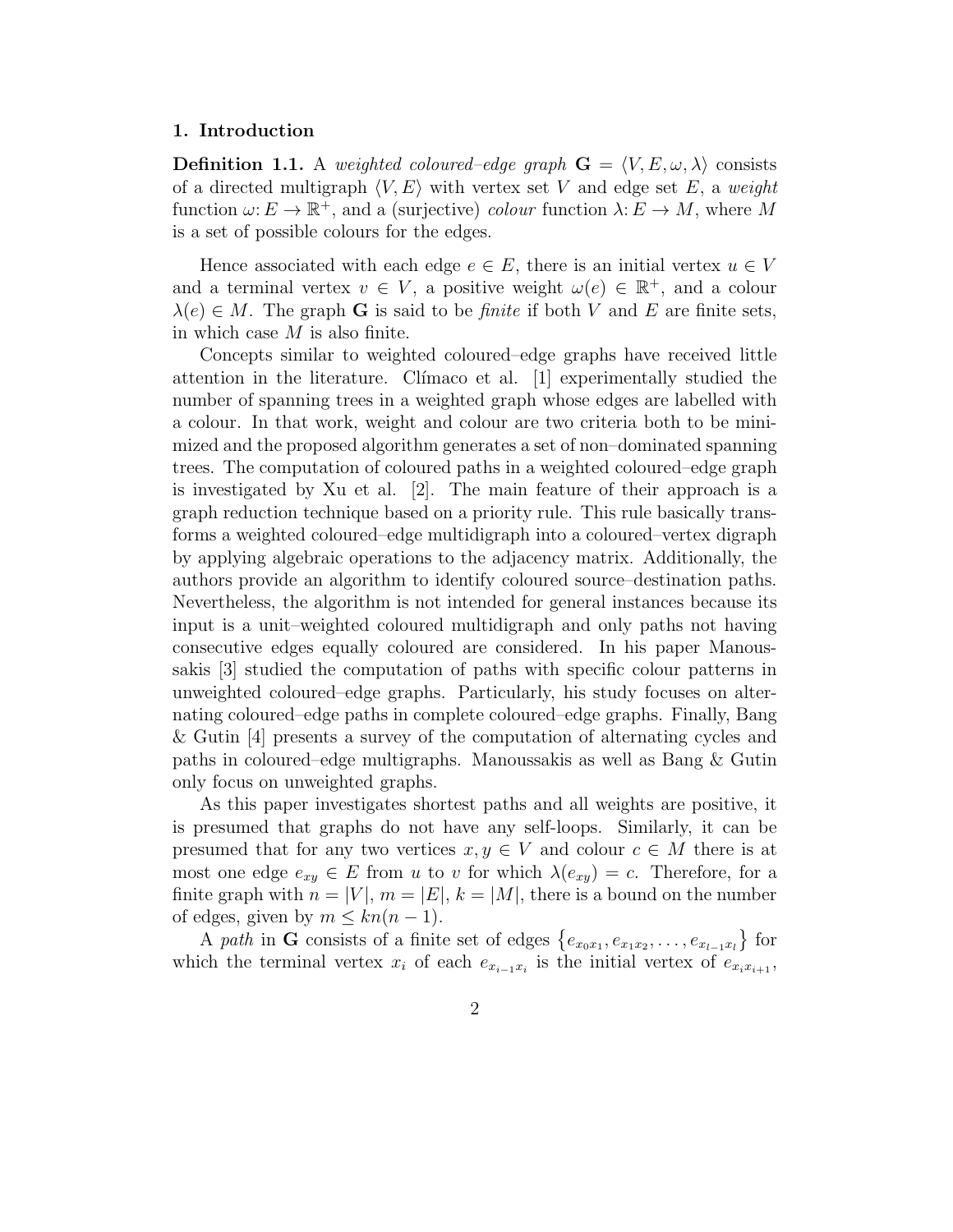#### **1. Introduction**

**Definition 1.1.** A *weighted coloured–edge graph*  $\mathbf{G} = \langle V, E, \omega, \lambda \rangle$  consists of a directed multigraph  $\langle V, E \rangle$  with vertex set V and edge set E, a *weight* function  $\omega: E \to \mathbb{R}^+$ , and a (surjective) *colour* function  $\lambda: E \to M$ , where M is a set of possible colours for the edges.

Hence associated with each edge  $e \in E$ , there is an initial vertex  $u \in V$ and a terminal vertex  $v \in V$ , a positive weight  $\omega(e) \in \mathbb{R}^+$ , and a colour  $\lambda(e) \in M$ . The graph **G** is said to be *finite* if both V and E are finite sets, in which case  $M$  is also finite.

Concepts similar to weighted coloured–edge graphs have received little attention in the literature. Clímaco et al.  $[1]$  experimentally studied the number of spanning trees in a weighted graph whose edges are labelled with a colour. In that work, weight and colour are two criteria both to be minimized and the proposed algorithm generates a set of non–dominated spanning trees. The computation of coloured paths in a weighted coloured–edge graph is investigated by Xu et al. [2]. The main feature of their approach is a graph reduction technique based on a priority rule. This rule basically transforms a weighted coloured–edge multidigraph into a coloured–vertex digraph by applying algebraic operations to the adjacency matrix. Additionally, the authors provide an algorithm to identify coloured source–destination paths. Nevertheless, the algorithm is not intended for general instances because its input is a unit–weighted coloured multidigraph and only paths not having consecutive edges equally coloured are considered. In his paper Manoussakis [3] studied the computation of paths with specific colour patterns in unweighted coloured–edge graphs. Particularly, his study focuses on alternating coloured–edge paths in complete coloured–edge graphs. Finally, Bang & Gutin [4] presents a survey of the computation of alternating cycles and paths in coloured–edge multigraphs. Manoussakis as well as Bang & Gutin only focus on unweighted graphs.

As this paper investigates shortest paths and all weights are positive, it is presumed that graphs do not have any self-loops. Similarly, it can be presumed that for any two vertices  $x, y \in V$  and colour  $c \in M$  there is at most one edge  $e_{xy} \in E$  from u to v for which  $\lambda(e_{xy}) = c$ . Therefore, for a finite graph with  $n = |V|$ ,  $m = |E|$ ,  $k = |M|$ , there is a bound on the number of edges, given by  $m \leq kn(n-1)$ .

A *path* in **G** consists of a finite set of edges  $\{e_{x_0x_1}, e_{x_1x_2}, \ldots, e_{x_{l-1}x_l}\}$  for which the terminal vertex  $x_i$  of each  $e_{x_{i-1}x_i}$  is the initial vertex of  $e_{x_ix_{i+1}}$ ,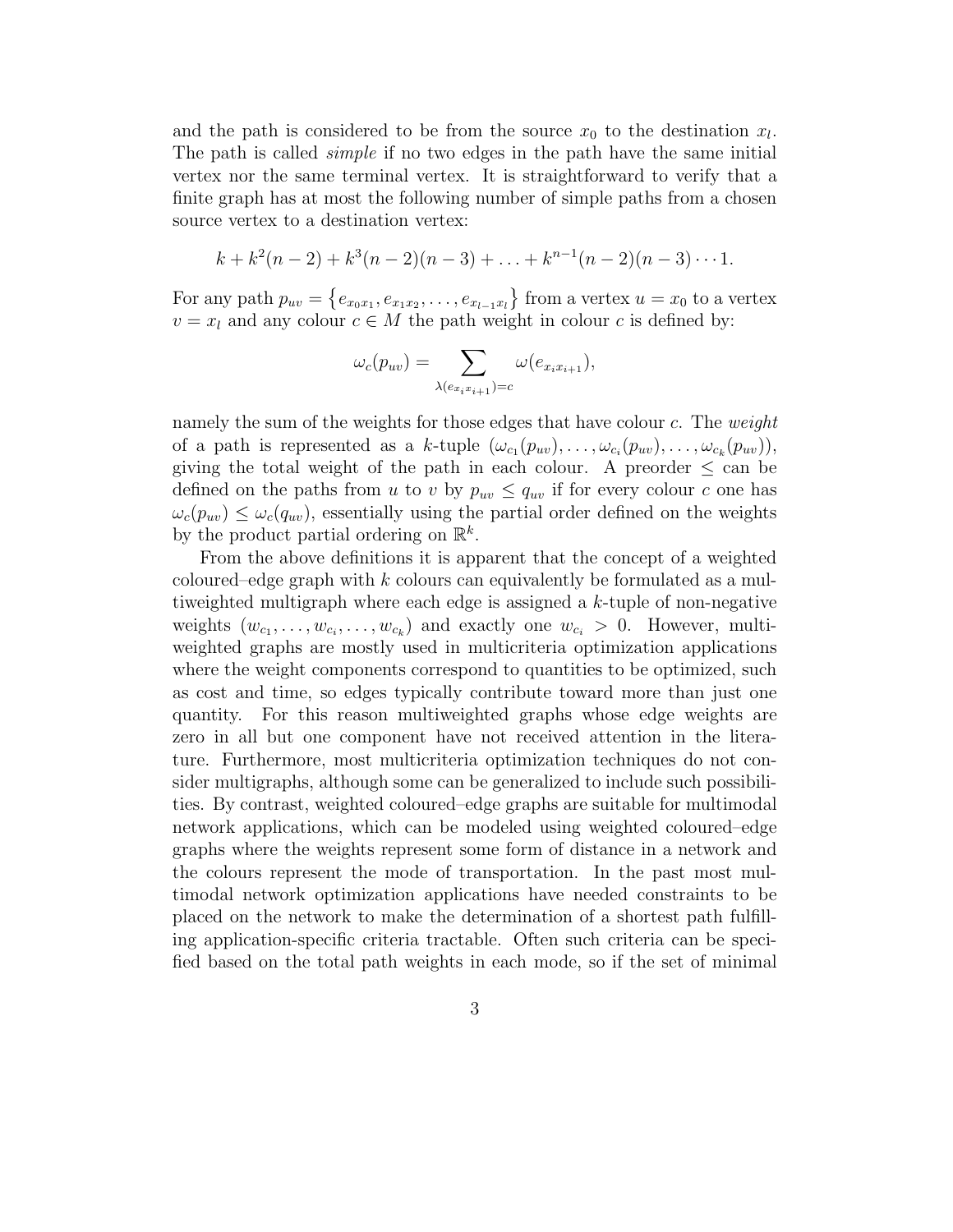and the path is considered to be from the source  $x_0$  to the destination  $x_l$ . The path is called *simple* if no two edges in the path have the same initial vertex nor the same terminal vertex. It is straightforward to verify that a finite graph has at most the following number of simple paths from a chosen source vertex to a destination vertex:

$$
k + k2(n-2) + k3(n-2)(n-3) + ... + kn-1(n-2)(n-3) \cdots 1.
$$

For any path  $p_{uv} = \{e_{x_0x_1}, e_{x_1x_2}, \ldots, e_{x_{l-1}x_l}\}$  from a vertex  $u = x_0$  to a vertex  $v = x_l$  and any colour  $c \in M$  the path weight in colour c is defined by:

$$
\omega_c(p_{uv}) = \sum_{\lambda(e_{x_ix_{i+1}})=c} \omega(e_{x_ix_{i+1}}),
$$

namely the sum of the weights for those edges that have colour c. The *weight* of a path is represented as a k-tuple  $(\omega_{c_1}(p_{uv}),\ldots,\omega_{c_i}(p_{uv}),\ldots,\omega_{c_k}(p_{uv}))$ , giving the total weight of the path in each colour. A preorder  $\leq$  can be defined on the paths from u to v by  $p_{uv} \le q_{uv}$  if for every colour c one has  $\omega_c(p_{uv}) \leq \omega_c(q_{uv})$ , essentially using the partial order defined on the weights by the product partial ordering on  $\mathbb{R}^k$ .

From the above definitions it is apparent that the concept of a weighted coloured–edge graph with  $k$  colours can equivalently be formulated as a multiweighted multigraph where each edge is assigned a k-tuple of non-negative weights  $(w_{c_1},\ldots,w_{c_i},\ldots,w_{c_k})$  and exactly one  $w_{c_i} > 0$ . However, multiweighted graphs are mostly used in multicriteria optimization applications where the weight components correspond to quantities to be optimized, such as cost and time, so edges typically contribute toward more than just one quantity. For this reason multiweighted graphs whose edge weights are zero in all but one component have not received attention in the literature. Furthermore, most multicriteria optimization techniques do not consider multigraphs, although some can be generalized to include such possibilities. By contrast, weighted coloured–edge graphs are suitable for multimodal network applications, which can be modeled using weighted coloured–edge graphs where the weights represent some form of distance in a network and the colours represent the mode of transportation. In the past most multimodal network optimization applications have needed constraints to be placed on the network to make the determination of a shortest path fulfilling application-specific criteria tractable. Often such criteria can be specified based on the total path weights in each mode, so if the set of minimal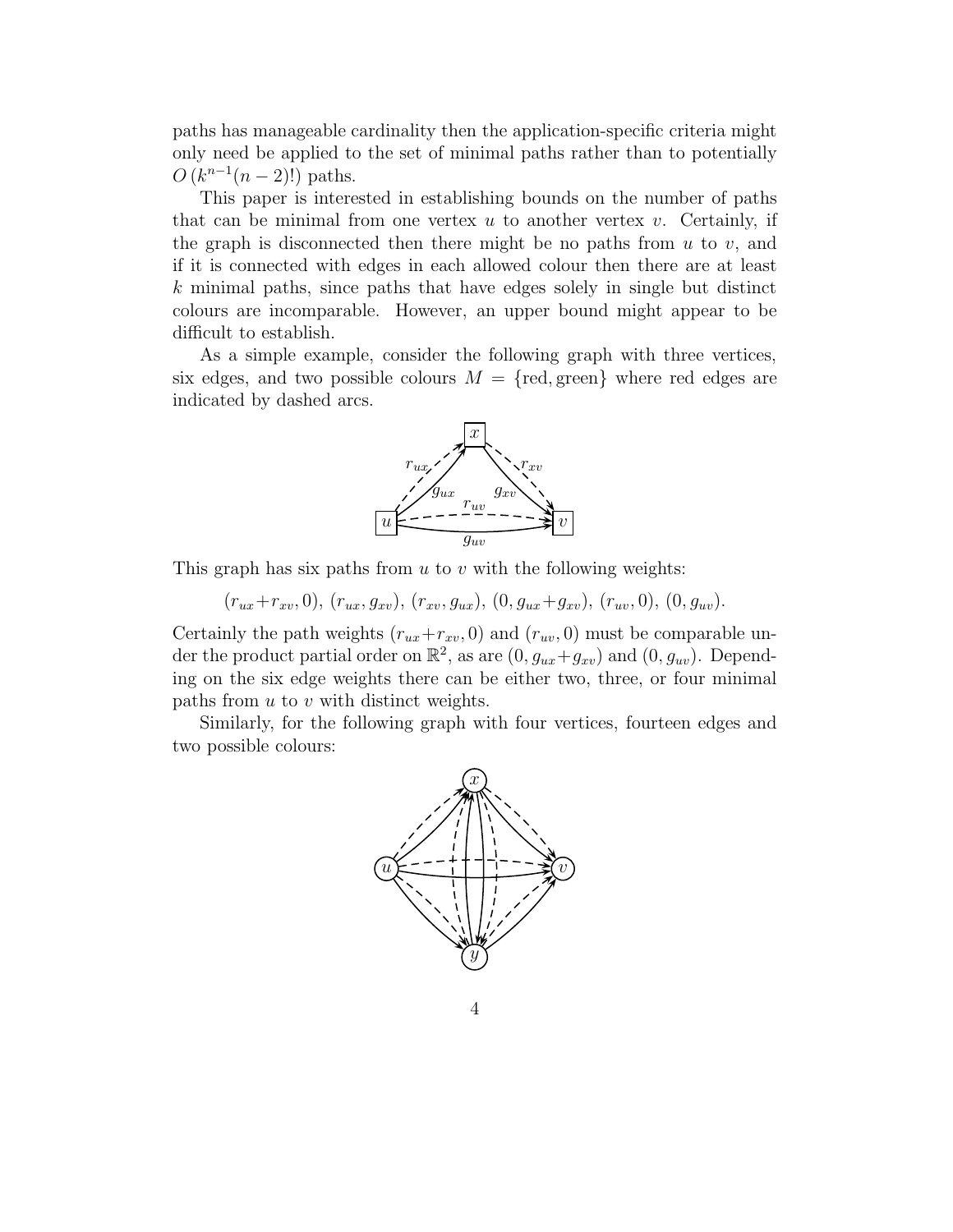paths has manageable cardinality then the application-specific criteria might only need be applied to the set of minimal paths rather than to potentially  $O(k^{n-1}(n-2)!)$  paths.

This paper is interested in establishing bounds on the number of paths that can be minimal from one vertex  $u$  to another vertex  $v$ . Certainly, if the graph is disconnected then there might be no paths from  $u$  to  $v$ , and if it is connected with edges in each allowed colour then there are at least  $k$  minimal paths, since paths that have edges solely in single but distinct colours are incomparable. However, an upper bound might appear to be difficult to establish.

As a simple example, consider the following graph with three vertices, six edges, and two possible colours  $M = \{ \text{red}, \text{green} \}$  where red edges are indicated by dashed arcs.



This graph has six paths from  $u$  to  $v$  with the following weights:

 $(r_{ux}+r_{xv}, 0), (r_{ux}, g_{xv}), (r_{xv}, g_{ux}), (0, g_{ux}+g_{xv}), (r_{uv}, 0), (0, g_{uv}).$ 

Certainly the path weights  $(r_{ux}+r_{xv}, 0)$  and  $(r_{uv}, 0)$  must be comparable under the product partial order on  $\mathbb{R}^2$ , as are  $(0, g_{ux}+g_{xv})$  and  $(0, g_{uv})$ . Depending on the six edge weights there can be either two, three, or four minimal paths from  $u$  to  $v$  with distinct weights.

Similarly, for the following graph with four vertices, fourteen edges and two possible colours:

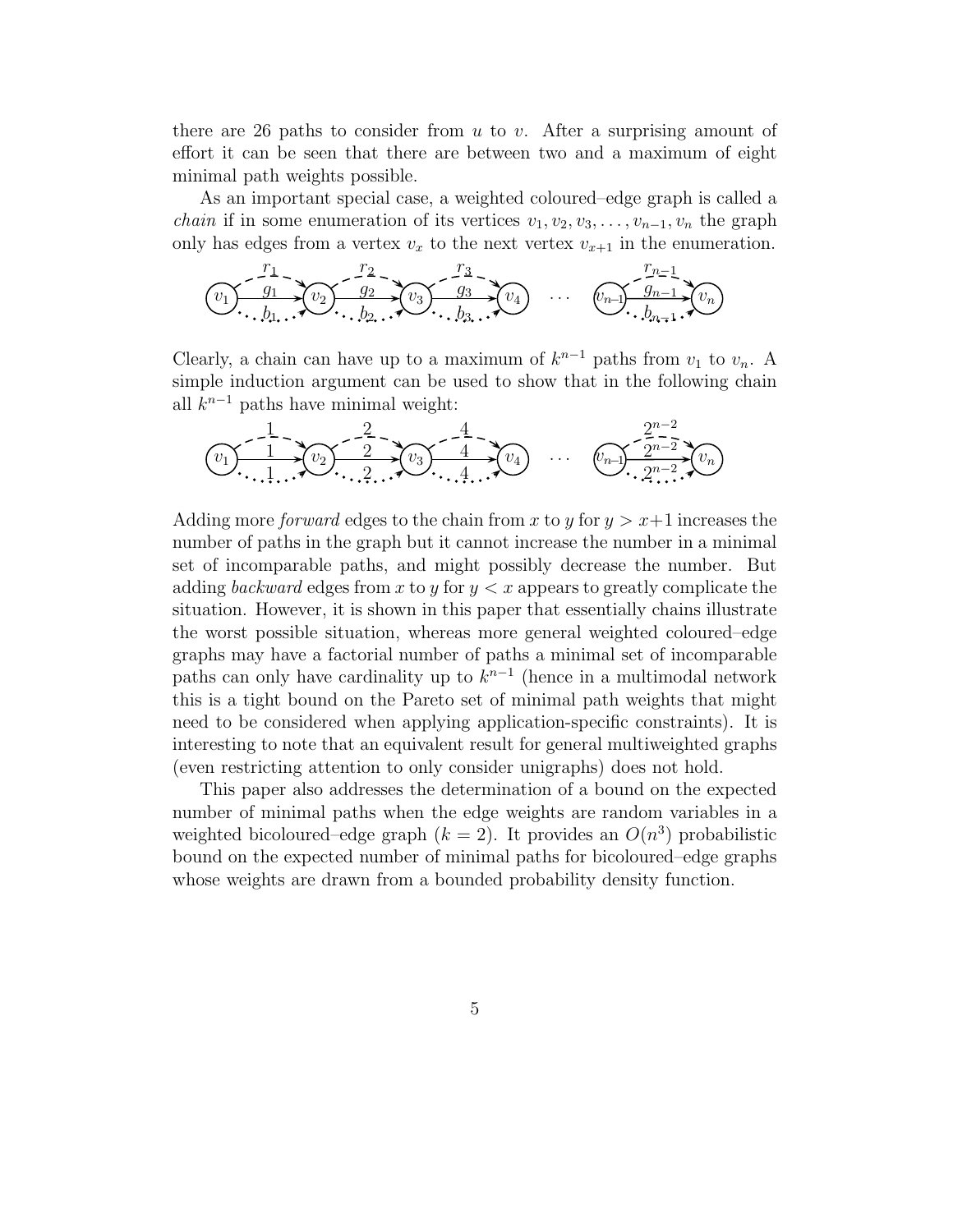there are 26 paths to consider from  $u$  to  $v$ . After a surprising amount of effort it can be seen that there are between two and a maximum of eight minimal path weights possible.

As an important special case, a weighted coloured–edge graph is called a *chain* if in some enumeration of its vertices  $v_1, v_2, v_3, \ldots, v_{n-1}, v_n$  the graph only has edges from a vertex  $v_x$  to the next vertex  $v_{x+1}$  in the enumeration.



Clearly, a chain can have up to a maximum of  $k^{n-1}$  paths from  $v_1$  to  $v_n$ . A simple induction argument can be used to show that in the following chain all  $k^{n-1}$  paths have minimal weight:

$$
(v_1) \frac{1}{1} \cdot \frac{2}{1} \cdot \frac{2}{1} \cdot \frac{4}{1} \cdot \frac{4}{1} \cdot \frac{2^{n-2}}{1} \cdot \frac{4}{1} \cdot \frac{4}{1} \cdot \frac{4}{1} \cdot \frac{4}{1} \cdot \frac{4}{1} \cdot \frac{4}{1} \cdot \frac{4}{1} \cdot \frac{4}{1} \cdot \frac{4}{1} \cdot \frac{4}{1} \cdot \frac{4}{1} \cdot \frac{4}{1} \cdot \frac{4}{1} \cdot \frac{4}{1} \cdot \frac{4}{1} \cdot \frac{4}{1} \cdot \frac{4}{1} \cdot \frac{4}{1} \cdot \frac{4}{1} \cdot \frac{4}{1} \cdot \frac{4}{1} \cdot \frac{4}{1} \cdot \frac{4}{1} \cdot \frac{4}{1} \cdot \frac{4}{1} \cdot \frac{4}{1} \cdot \frac{4}{1} \cdot \frac{4}{1} \cdot \frac{4}{1} \cdot \frac{4}{1} \cdot \frac{4}{1} \cdot \frac{4}{1} \cdot \frac{4}{1} \cdot \frac{4}{1} \cdot \frac{4}{1} \cdot \frac{4}{1} \cdot \frac{4}{1} \cdot \frac{4}{1} \cdot \frac{4}{1} \cdot \frac{4}{1} \cdot \frac{4}{1} \cdot \frac{4}{1} \cdot \frac{4}{1} \cdot \frac{4}{1} \cdot \frac{4}{1} \cdot \frac{4}{1} \cdot \frac{4}{1} \cdot \frac{4}{1} \cdot \frac{4}{1} \cdot \frac{4}{1} \cdot \frac{4}{1} \cdot \frac{4}{1} \cdot \frac{4}{1} \cdot \frac{4}{1} \cdot \frac{4}{1} \cdot \frac{4}{1} \cdot \frac{4}{1} \cdot \frac{4}{1} \cdot \frac{4}{1} \cdot \frac{4}{1} \cdot \frac{4}{1} \cdot \frac{4}{1} \cdot \frac{4}{1} \cdot \frac{4}{1} \cdot \frac{4}{1} \cdot \frac{4}{1} \cdot \frac{4}{1} \cdot \frac{4}{1} \cdot \frac{4}{1} \cdot \frac{4}{1} \cdot \frac{4}{1} \cdot \frac{4}{1} \cdot \frac{4}{1} \cdot \frac{4}{1} \cdot \frac{4}{1} \cdot \frac{4}{1} \cdot \frac{4}{1} \cdot \frac{
$$

Adding more *forward* edges to the chain from x to y for  $y > x+1$  increases the number of paths in the graph but it cannot increase the number in a minimal set of incomparable paths, and might possibly decrease the number. But adding *backward* edges from x to y for  $y < x$  appears to greatly complicate the situation. However, it is shown in this paper that essentially chains illustrate the worst possible situation, whereas more general weighted coloured–edge graphs may have a factorial number of paths a minimal set of incomparable paths can only have cardinality up to  $k^{n-1}$  (hence in a multimodal network this is a tight bound on the Pareto set of minimal path weights that might need to be considered when applying application-specific constraints). It is interesting to note that an equivalent result for general multiweighted graphs (even restricting attention to only consider unigraphs) does not hold.

This paper also addresses the determination of a bound on the expected number of minimal paths when the edge weights are random variables in a weighted bicoloured–edge graph  $(k = 2)$ . It provides an  $O(n^3)$  probabilistic bound on the expected number of minimal paths for bicoloured–edge graphs whose weights are drawn from a bounded probability density function.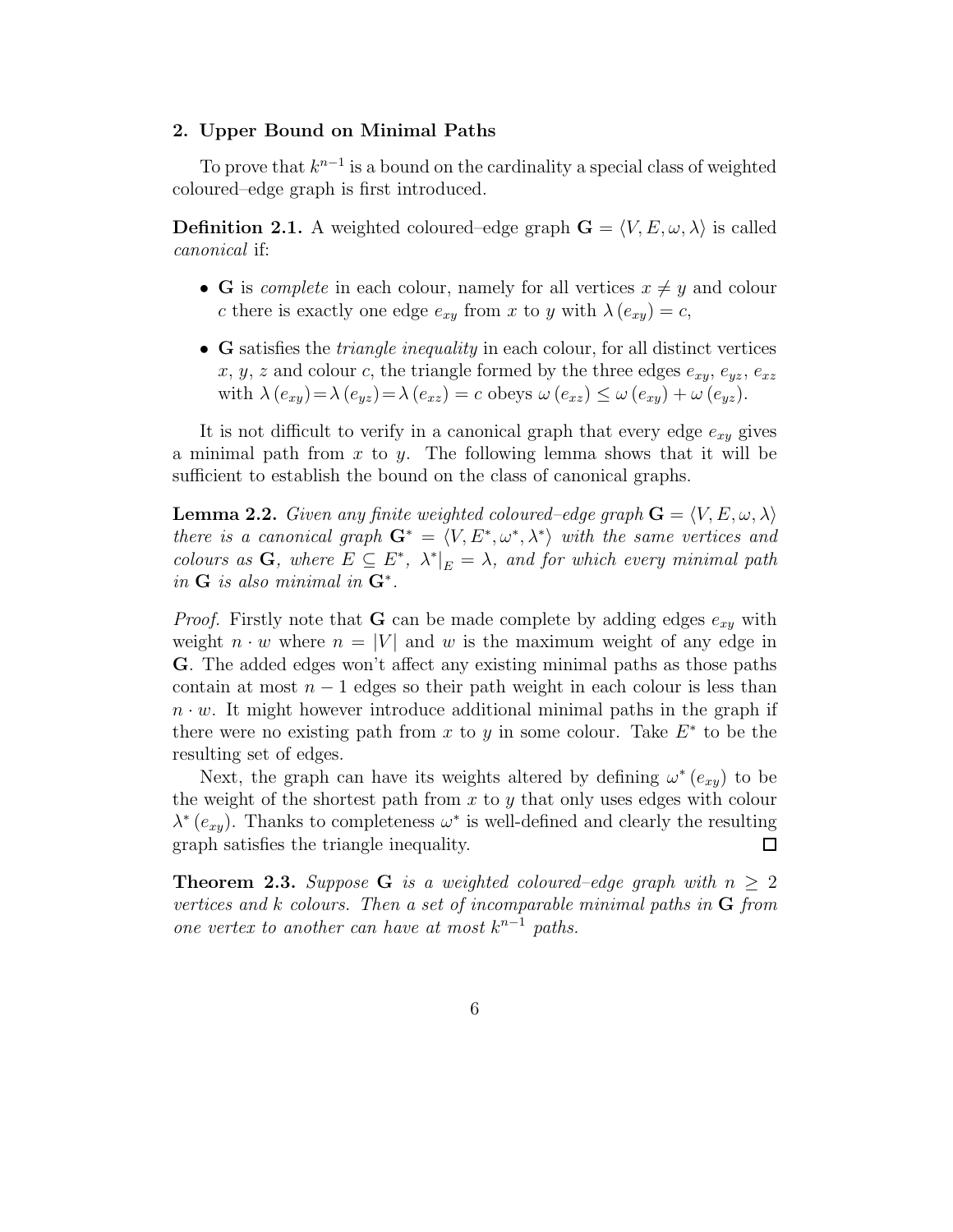#### **2. Upper Bound on Minimal Paths**

To prove that  $k^{n-1}$  is a bound on the cardinality a special class of weighted coloured–edge graph is first introduced.

**Definition 2.1.** A weighted coloured–edge graph  $\mathbf{G} = \langle V, E, \omega, \lambda \rangle$  is called *canonical* if:

- **G** is *complete* in each colour, namely for all vertices  $x \neq y$  and colour c there is exactly one edge  $e_{xy}$  from x to y with  $\lambda(e_{xy}) = c$ ,
- **G** satisfies the *triangle inequality* in each colour, for all distinct vertices x, y, z and colour c, the triangle formed by the three edges  $e_{xy}$ ,  $e_{yz}$ ,  $e_{xz}$ with  $\lambda(e_{xy}) = \lambda(e_{yz}) = \lambda(e_{xz}) = c$  obeys  $\omega(e_{xz}) \leq \omega(e_{xy}) + \omega(e_{yz})$ .

It is not difficult to verify in a canonical graph that every edge  $e_{xy}$  gives a minimal path from  $x$  to  $y$ . The following lemma shows that it will be sufficient to establish the bound on the class of canonical graphs.

**Lemma 2.2.** *Given any finite weighted coloured–edge graph*  $\mathbf{G} = \langle V, E, \omega, \lambda \rangle$ *there is a canonical graph*  $\mathbf{G}^* = \langle V, E^*, \omega^*, \lambda^* \rangle$  *with the same vertices and colours as* **G***, where*  $E \subseteq E^*$ *,*  $\lambda^*|_E = \lambda$ *, and for which every minimal path in* **G** *is also minimal in* **G**∗*.*

*Proof.* Firstly note that **G** can be made complete by adding edges  $e_{xy}$  with weight  $n \cdot w$  where  $n = |V|$  and w is the maximum weight of any edge in **G**. The added edges won't affect any existing minimal paths as those paths contain at most  $n-1$  edges so their path weight in each colour is less than  $n \cdot w$ . It might however introduce additional minimal paths in the graph if there were no existing path from x to y in some colour. Take  $E^*$  to be the resulting set of edges.

Next, the graph can have its weights altered by defining  $\omega^*(e_{xy})$  to be the weight of the shortest path from  $x$  to  $y$  that only uses edges with colour  $\lambda^*(e_{xy})$ . Thanks to completeness  $\omega^*$  is well-defined and clearly the resulting graph satisfies the triangle inequality.  $\Box$ 

**Theorem 2.3.** *Suppose* **G** *is a weighted coloured–edge graph with*  $n \geq 2$ *vertices and* k *colours. Then a set of incomparable minimal paths in* **G** *from one vertex to another can have at most*  $k^{n-1}$  *paths.*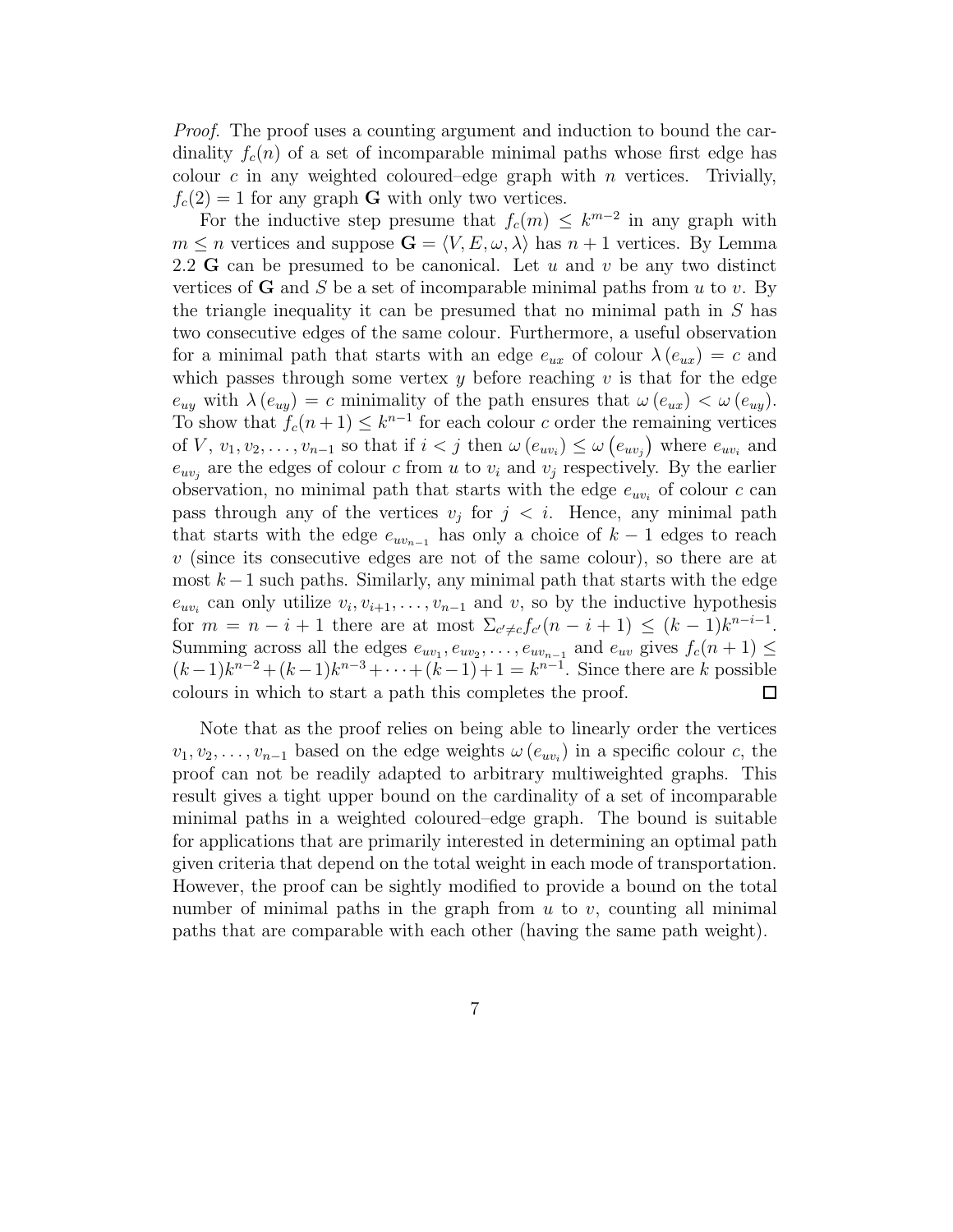*Proof.* The proof uses a counting argument and induction to bound the cardinality  $f_c(n)$  of a set of incomparable minimal paths whose first edge has colour c in any weighted coloured–edge graph with  $n$  vertices. Trivially,  $f_c(2) = 1$  for any graph **G** with only two vertices.

For the inductive step presume that  $f_c(m) \leq k^{m-2}$  in any graph with  $m \leq n$  vertices and suppose  $\mathbf{G} = \langle V, E, \omega, \lambda \rangle$  has  $n + 1$  vertices. By Lemma 2.2 **G** can be presumed to be canonical. Let u and v be any two distinct vertices of **G** and S be a set of incomparable minimal paths from  $u$  to  $v$ . By the triangle inequality it can be presumed that no minimal path in  $S$  has two consecutive edges of the same colour. Furthermore, a useful observation for a minimal path that starts with an edge  $e_{ux}$  of colour  $\lambda(e_{ux}) = c$  and which passes through some vertex  $y$  before reaching  $v$  is that for the edge  $e_{uy}$  with  $\lambda(e_{uy}) = c$  minimality of the path ensures that  $\omega(e_{ux}) < \omega(e_{uy})$ . To show that  $f_c(n+1) \leq k^{n-1}$  for each colour c order the remaining vertices of  $V, v_1, v_2, \ldots, v_{n-1}$  so that if  $i < j$  then  $\omega(e_{uv_i}) \leq \omega(e_{uv_j})$  where  $e_{uv_i}$  and  $e_{uv_j}$  are the edges of colour c from u to  $v_i$  and  $v_j$  respectively. By the earlier observation, no minimal path that starts with the edge  $e_{uv_i}$  of colour c can pass through any of the vertices  $v_j$  for  $j < i$ . Hence, any minimal path that starts with the edge  $e_{uv_{n-1}}$  has only a choice of  $k-1$  edges to reach  $v$  (since its consecutive edges are not of the same colour), so there are at most  $k-1$  such paths. Similarly, any minimal path that starts with the edge  $e_{uv_i}$  can only utilize  $v_i, v_{i+1}, \ldots, v_{n-1}$  and v, so by the inductive hypothesis for  $m = n - i + 1$  there are at most  $\Sigma_{c' \neq c} f_{c'}(n - i + 1) \leq (k - 1)k^{n - i - 1}$ . Summing across all the edges  $e_{uv_1}, e_{uv_2}, \ldots, e_{uv_{n-1}}$  and  $e_{uv}$  gives  $f_c(n+1) \leq$  $(k-1)k^{n-2} + (k-1)k^{n-3} + \cdots + (k-1)+1 = k^{n-1}$ . Since there are k possible colours in which to start a path this completes the proof.  $\Box$ 

Note that as the proof relies on being able to linearly order the vertices  $v_1, v_2, \ldots, v_{n-1}$  based on the edge weights  $\omega(e_{uv_i})$  in a specific colour c, the proof can not be readily adapted to arbitrary multiweighted graphs. This result gives a tight upper bound on the cardinality of a set of incomparable minimal paths in a weighted coloured–edge graph. The bound is suitable for applications that are primarily interested in determining an optimal path given criteria that depend on the total weight in each mode of transportation. However, the proof can be sightly modified to provide a bound on the total number of minimal paths in the graph from  $u$  to  $v$ , counting all minimal paths that are comparable with each other (having the same path weight).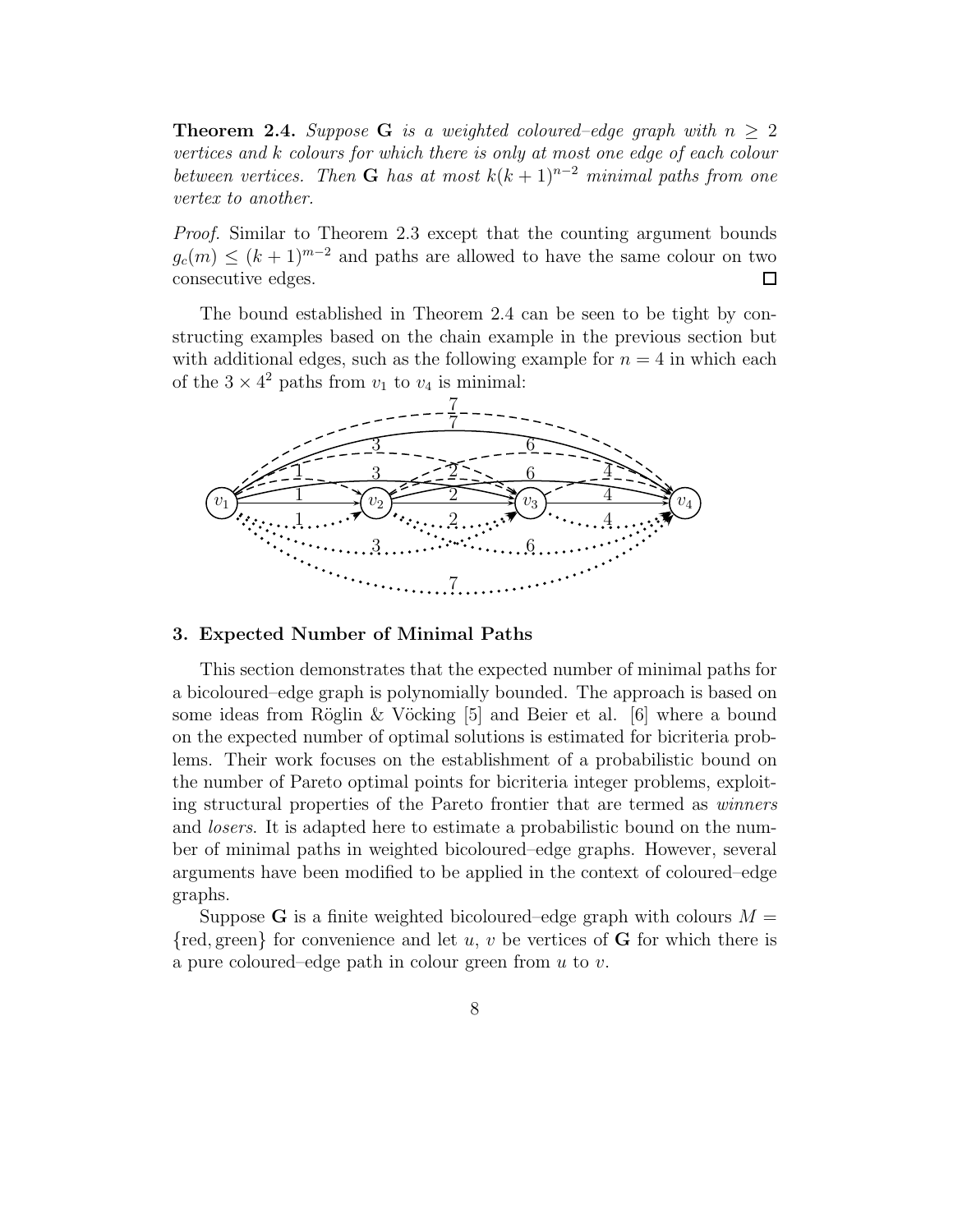**Theorem 2.4.** *Suppose* **G** *is a weighted coloured–edge graph with*  $n \geq 2$ *vertices and* k *colours for which there is only at most one edge of each colour between vertices. Then* **G** *has at most*  $k(k+1)^{n-2}$  *minimal paths from one vertex to another.*

*Proof.* Similar to Theorem 2.3 except that the counting argument bounds  $g_c(m) \leq (k+1)^{m-2}$  and paths are allowed to have the same colour on two consecutive edges.  $\Box$ 

The bound established in Theorem 2.4 can be seen to be tight by constructing examples based on the chain example in the previous section but with additional edges, such as the following example for  $n = 4$  in which each of the  $3 \times 4^2$  paths from  $v_1$  to  $v_4$  is minimal:



#### **3. Expected Number of Minimal Paths**

This section demonstrates that the expected number of minimal paths for a bicoloured–edge graph is polynomially bounded. The approach is based on some ideas from Röglin & Vöcking [5] and Beier et al. [6] where a bound on the expected number of optimal solutions is estimated for bicriteria problems. Their work focuses on the establishment of a probabilistic bound on the number of Pareto optimal points for bicriteria integer problems, exploiting structural properties of the Pareto frontier that are termed as *winners* and *losers*. It is adapted here to estimate a probabilistic bound on the number of minimal paths in weighted bicoloured–edge graphs. However, several arguments have been modified to be applied in the context of coloured–edge graphs.

Suppose **G** is a finite weighted bicoloured–edge graph with colours  $M =$ {red, green} for convenience and let u, v be vertices of **G** for which there is a pure coloured–edge path in colour green from u to v.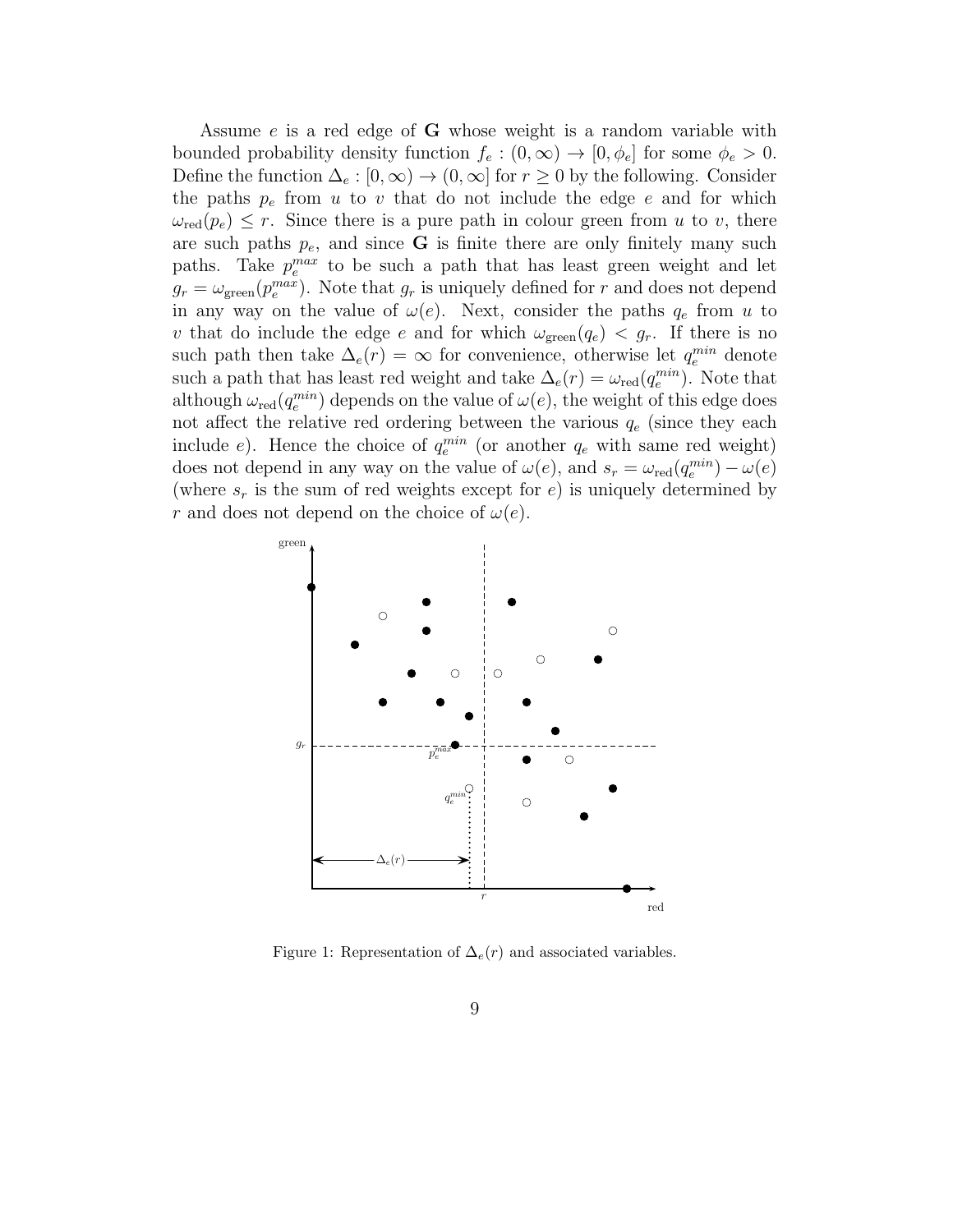Assume e is a red edge of **G** whose weight is a random variable with bounded probability density function  $f_e : (0, \infty) \to [0, \phi_e]$  for some  $\phi_e > 0$ . Define the function  $\Delta_e : [0, \infty) \to (0, \infty]$  for  $r \geq 0$  by the following. Consider the paths  $p_e$  from u to v that do not include the edge e and for which  $\omega_{\rm red}(p_e) \leq r$ . Since there is a pure path in colour green from u to v, there are such paths  $p_e$ , and since **G** is finite there are only finitely many such paths. Take  $p_e^{max}$  to be such a path that has least green weight and let  $g_r = \omega_{\text{green}}(p_e^{max})$ . Note that  $g_r$  is uniquely defined for r and does not depend in any way on the value of  $\omega(e)$ . Next, consider the paths  $q_e$  from u to v that do include the edge e and for which  $\omega_{\text{green}}(q_e) < q_r$ . If there is no such path then take  $\Delta_e(r) = \infty$  for convenience, otherwise let  $q_e^{min}$  denote such a path that has least red weight and take  $\Delta_e(r) = \omega_{\text{red}}(q_e^{min})$ . Note that although  $\omega_{\rm red}(q_e^{min})$  depends on the value of  $\omega(e)$ , the weight of this edge does not affect the relative red ordering between the various  $q_e$  (since they each include e). Hence the choice of  $q_e^{min}$  (or another  $q_e$  with same red weight) does not depend in any way on the value of  $\omega(e)$ , and  $s_r = \omega_{\text{red}}(q_e^{min}) - \omega(e)$ (where  $s_r$  is the sum of red weights except for e) is uniquely determined by r and does not depend on the choice of  $\omega(e)$ .



Figure 1: Representation of  $\Delta_e(r)$  and associated variables.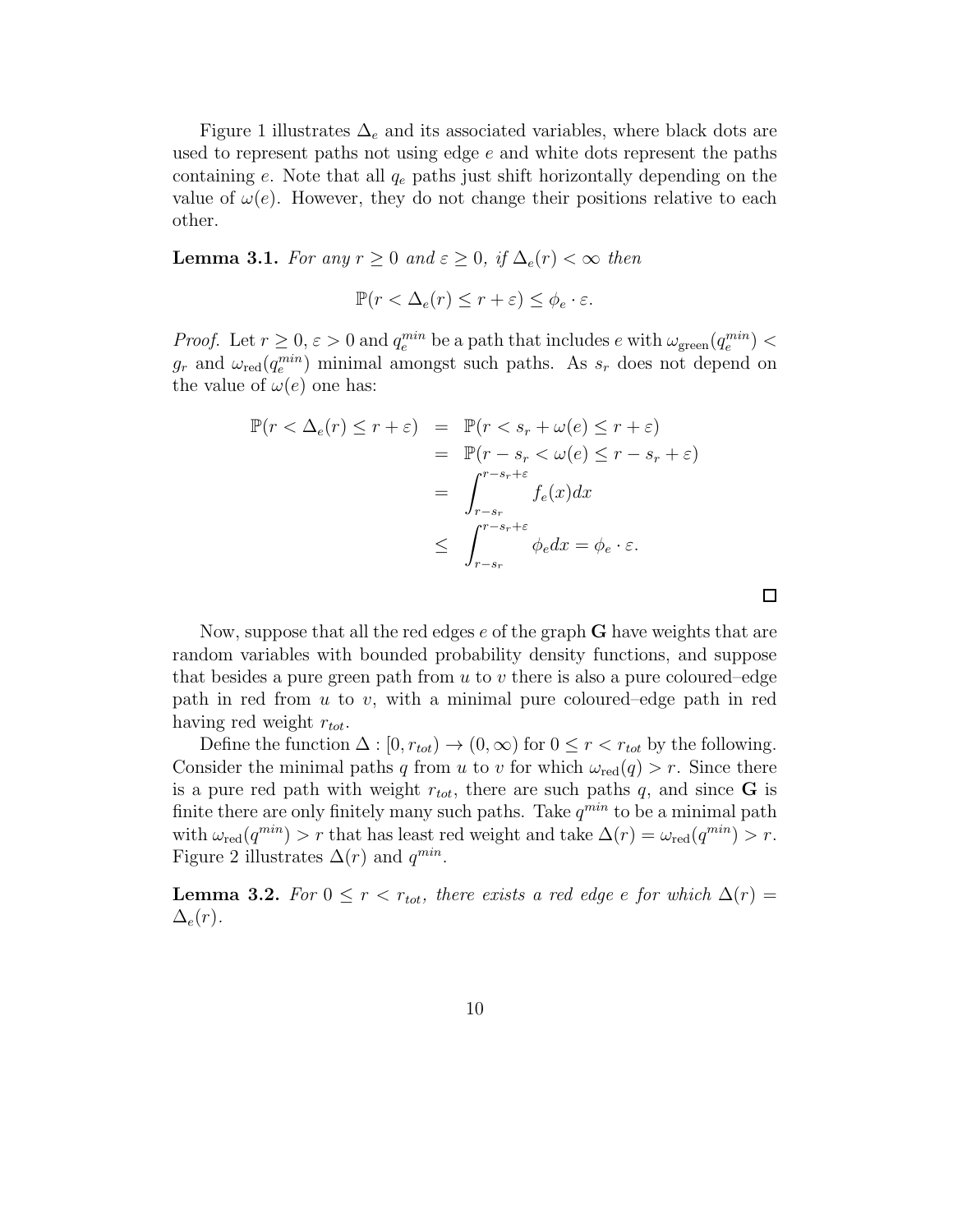Figure 1 illustrates  $\Delta_e$  and its associated variables, where black dots are used to represent paths not using edge e and white dots represent the paths containing e. Note that all  $q_e$  paths just shift horizontally depending on the value of  $\omega(e)$ . However, they do not change their positions relative to each other.

**Lemma 3.1.** *For any*  $r \geq 0$  *and*  $\varepsilon \geq 0$ *, if*  $\Delta_e(r) < \infty$  *then* 

$$
\mathbb{P}(r < \Delta_e(r) \le r + \varepsilon) \le \phi_e \cdot \varepsilon.
$$

*Proof.* Let  $r \geq 0$ ,  $\varepsilon > 0$  and  $q_e^{min}$  be a path that includes e with  $\omega_{\text{green}}(q_e^{min})$  <  $g_r$  and  $\omega_{\text{red}}(q_e^{min})$  minimal amongst such paths. As  $s_r$  does not depend on the value of  $\omega(e)$  one has:

$$
\mathbb{P}(r < \Delta_e(r) \le r + \varepsilon) = \mathbb{P}(r < s_r + \omega(e) \le r + \varepsilon)
$$
  
\n
$$
= \mathbb{P}(r - s_r < \omega(e) \le r - s_r + \varepsilon)
$$
  
\n
$$
= \int_{r - s_r}^{r - s_r + \varepsilon} f_e(x) dx
$$
  
\n
$$
\le \int_{r - s_r}^{r - s_r + \varepsilon} \phi_e dx = \phi_e \cdot \varepsilon.
$$

 $\Box$ 

Now, suppose that all the red edges e of the graph **G** have weights that are random variables with bounded probability density functions, and suppose that besides a pure green path from  $u$  to  $v$  there is also a pure coloured–edge path in red from  $u$  to  $v$ , with a minimal pure coloured–edge path in red having red weight  $r_{tot}$ .

Define the function  $\Delta : [0, r_{tot}) \to (0, \infty)$  for  $0 \leq r < r_{tot}$  by the following. Consider the minimal paths q from u to v for which  $\omega_{\text{red}}(q) > r$ . Since there is a pure red path with weight  $r_{tot}$ , there are such paths q, and since **G** is finite there are only finitely many such paths. Take  $q^{min}$  to be a minimal path with  $\omega_{\rm red}(q^{min}) > r$  that has least red weight and take  $\Delta(r) = \omega_{\rm red}(q^{min}) > r$ . Figure 2 illustrates  $\Delta(r)$  and  $q^{min}$ .

**Lemma 3.2.** *For*  $0 \leq r < r_{tot}$ , *there exists a red edge e for which*  $\Delta(r)$  =  $\Delta_e(r)$ .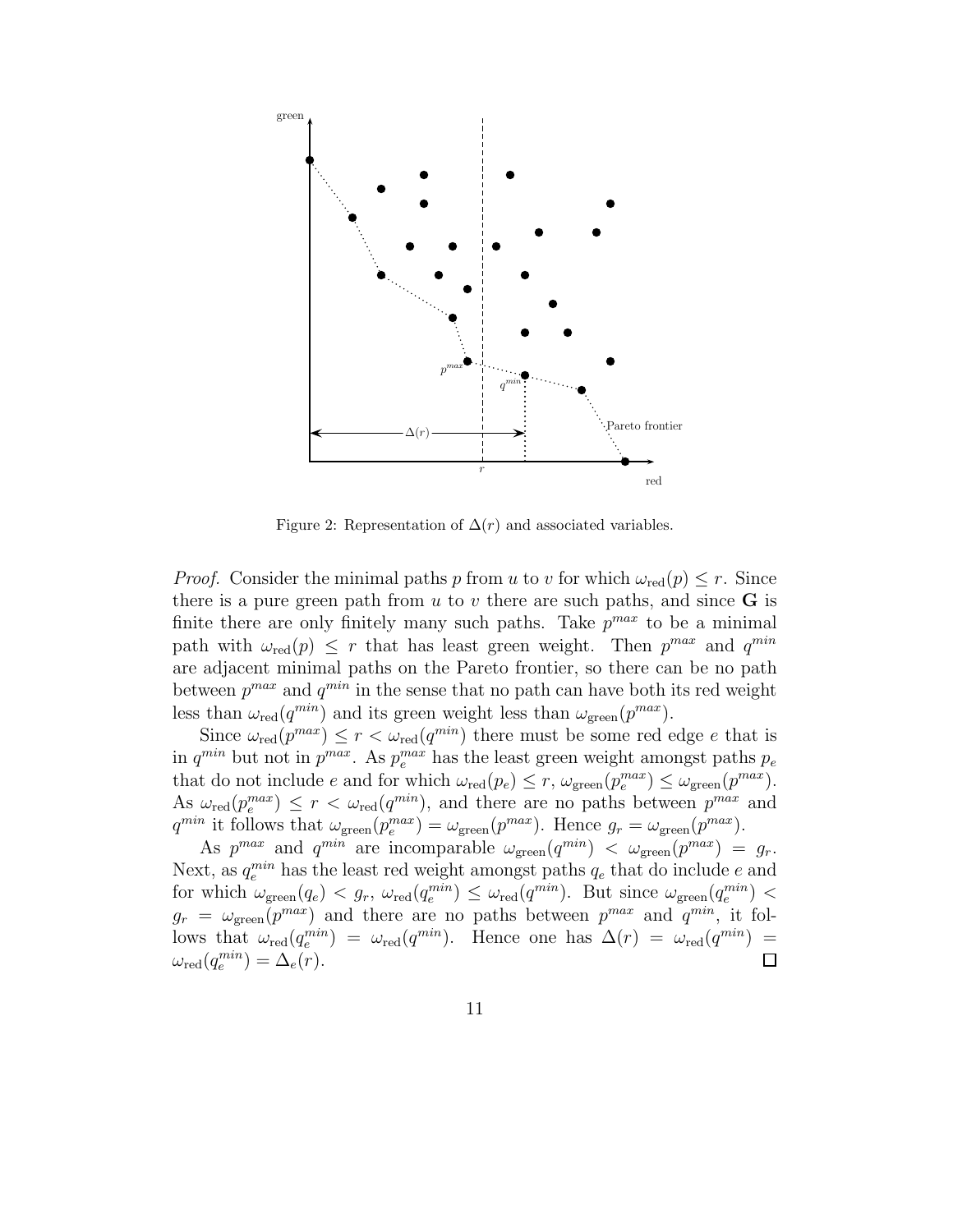

Figure 2: Representation of  $\Delta(r)$  and associated variables.

*Proof.* Consider the minimal paths p from u to v for which  $\omega_{\text{red}}(p) \leq r$ . Since there is a pure green path from  $u$  to  $v$  there are such paths, and since  $\bf{G}$  is finite there are only finitely many such paths. Take  $p^{max}$  to be a minimal path with  $\omega_{\rm red}(p) \leq r$  that has least green weight. Then  $p^{max}$  and  $q^{min}$ are adjacent minimal paths on the Pareto frontier, so there can be no path between  $p^{max}$  and  $q^{min}$  in the sense that no path can have both its red weight less than  $\omega_{\text{red}}(q^{min})$  and its green weight less than  $\omega_{\text{green}}(p^{max})$ .

Since  $\omega_{\text{red}}(p^{max}) \le r < \omega_{\text{red}}(q^{min})$  there must be some red edge e that is in  $q^{min}$  but not in  $p^{max}$ . As  $p_e^{max}$  has the least green weight amongst paths  $p_e$ that do not include e and for which  $\omega_{\rm red}(p_e) \le r$ ,  $\omega_{\rm green}(p_e^{max}) \le \omega_{\rm green}(p^{max})$ . As  $\omega_{\text{red}}(p_e^{max}) \leq r < \omega_{\text{red}}(q^{min})$ , and there are no paths between  $p^{max}$  and  $q^{min}$  it follows that  $\omega_{\text{green}}(p_e^{max}) = \omega_{\text{green}}(p^{max})$ . Hence  $g_r = \omega_{\text{green}}(p^{max})$ .

As  $p^{max}$  and  $q^{min}$  are incomparable  $\omega_{green}(q^{min}) < \omega_{green}(p^{max}) = g_r$ . Next, as  $q_e^{min}$  has the least red weight amongst paths  $q_e$  that do include e and for which  $\omega_{\text{green}}(q_e) < g_r$ ,  $\omega_{\text{red}}(q_e^{min}) \leq \omega_{\text{red}}(q_m^{min})$ . But since  $\omega_{\text{green}}(q_e^{min}) <$  $g_r = \omega_{\text{green}}(p^{max})$  and there are no paths between  $p^{max}$  and  $q^{min}$ , it follows that  $\omega_{\rm red}(q_e^{min}) = \omega_{\rm red}(q^{min})$ . Hence one has  $\Delta(r) = \omega_{\rm red}(q^{min}) =$  $\omega_{\rm red}(q_e^{min}) = \Delta_e(r).$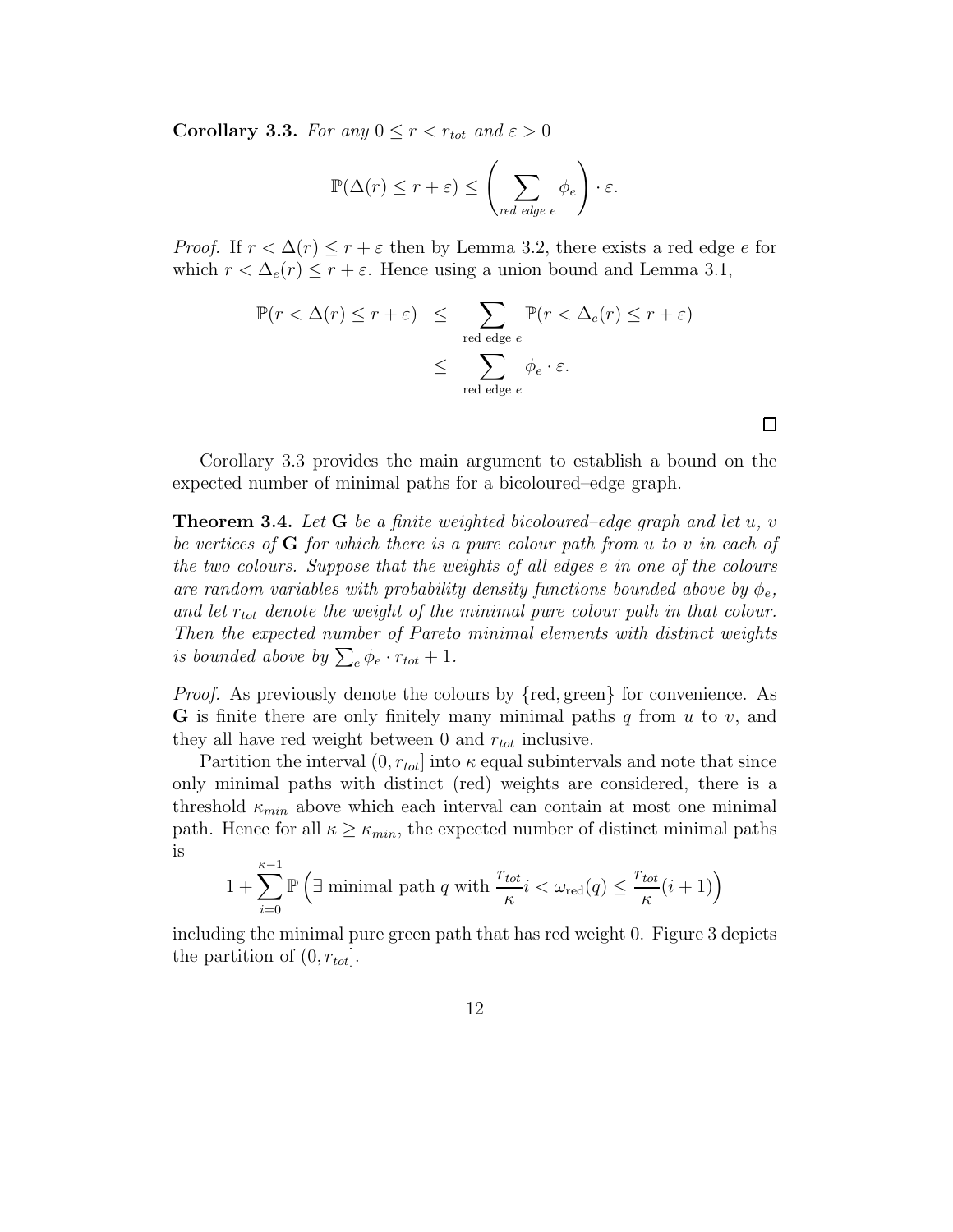**Corollary 3.3.** *For any*  $0 \leq r < r_{tot}$  *and*  $\varepsilon > 0$ 

$$
\mathbb{P}(\Delta(r) \le r + \varepsilon) \le \left(\sum_{red\ edge} \phi_e\right) \cdot \varepsilon.
$$

*Proof.* If  $r < \Delta(r) \leq r + \varepsilon$  then by Lemma 3.2, there exists a red edge e for which  $r < \Delta_e(r) \le r + \varepsilon$ . Hence using a union bound and Lemma 3.1,

$$
\mathbb{P}(r < \Delta(r) \le r + \varepsilon) \le \sum_{\text{red edge } e} \mathbb{P}(r < \Delta_e(r) \le r + \varepsilon)
$$
  

$$
\le \sum_{\text{red edge } e} \phi_e \cdot \varepsilon.
$$

Corollary 3.3 provides the main argument to establish a bound on the expected number of minimal paths for a bicoloured–edge graph.

**Theorem 3.4.** *Let* **G** *be a finite weighted bicoloured–edge graph and let* u*,* v *be vertices of* **G** *for which there is a pure colour path from* u *to* v *in each of the two colours. Suppose that the weights of all edges* e *in one of the colours are random variables with probability density functions bounded above by*  $\phi_e$ , and let  $r_{tot}$  denote the weight of the minimal pure colour path in that colour. *Then the expected number of Pareto minimal elements with distinct weights is bounded above by*  $\sum_{e} \phi_e \cdot r_{tot} + 1$ .

*Proof.* As previously denote the colours by {red, green} for convenience. As **G** is finite there are only finitely many minimal paths  $q$  from  $u$  to  $v$ , and they all have red weight between 0 and  $r_{tot}$  inclusive.

Partition the interval  $(0, r_{tot}]$  into  $\kappa$  equal subintervals and note that since only minimal paths with distinct (red) weights are considered, there is a threshold  $\kappa_{min}$  above which each interval can contain at most one minimal path. Hence for all  $\kappa \geq \kappa_{min}$ , the expected number of distinct minimal paths is

$$
1 + \sum_{i=0}^{\kappa-1} \mathbb{P}\left(\exists \text{ minimal path } q \text{ with } \frac{r_{tot}}{\kappa} i < \omega_{\text{red}}(q) \le \frac{r_{tot}}{\kappa} (i+1)\right)
$$

including the minimal pure green path that has red weight 0. Figure 3 depicts the partition of  $(0, r_{tot})$ .

 $\Box$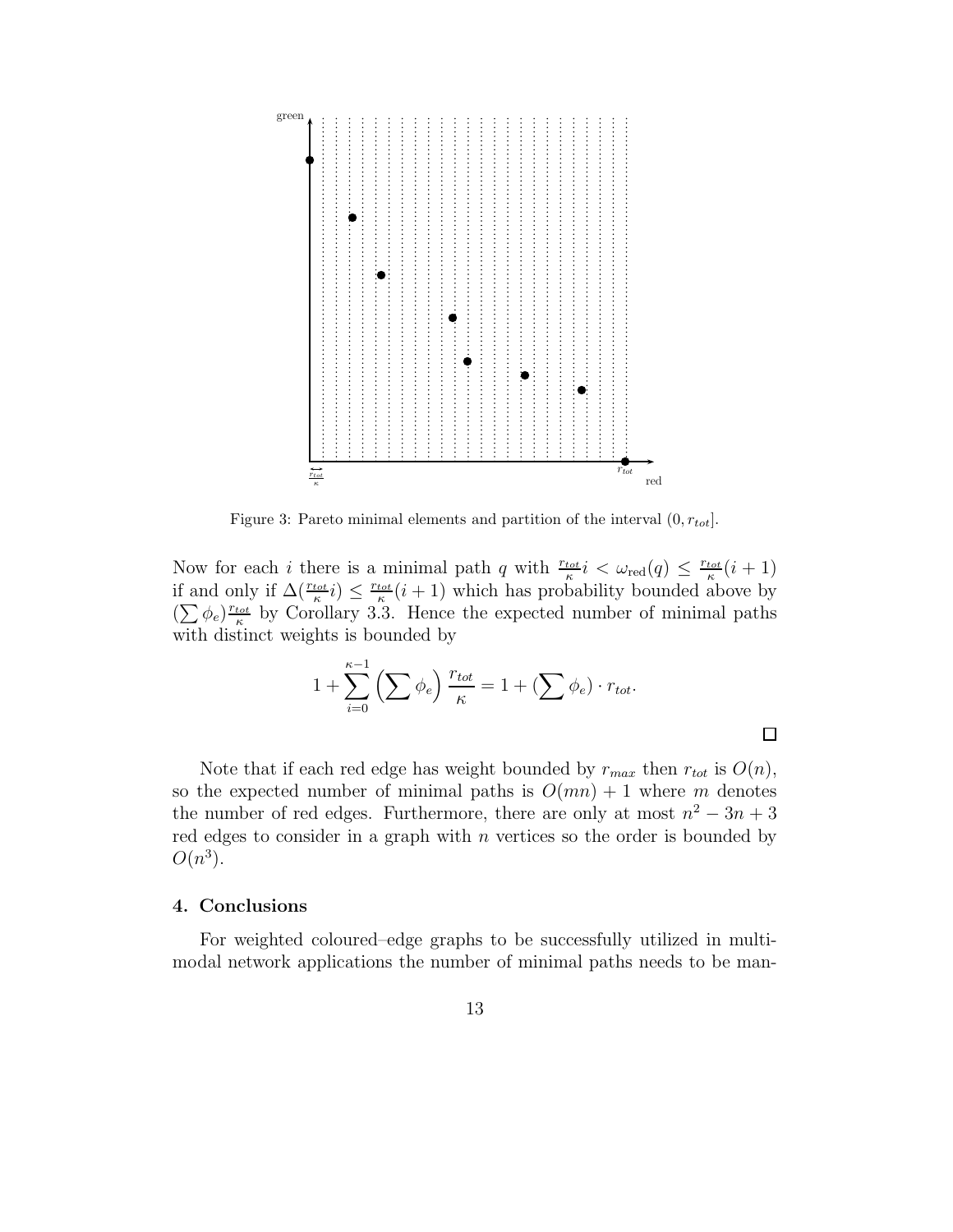

Figure 3: Pareto minimal elements and partition of the interval (0*, rtot*].

Now for each *i* there is a minimal path q with  $\frac{r_{tot}}{\kappa} i < \omega_{\text{red}}(q) \le \frac{r_{tot}}{\kappa} (i+1)$ if and only if  $\Delta(\frac{r_{tot}}{\kappa}i) \leq \frac{r_{tot}}{\kappa}(i+1)$  which has probability bounded above by  $(\sum \phi_e)^{r_{tot}}$  by Corollary 3.3. Hence the expected number of minimal paths with distinct weights is bounded by

$$
1 + \sum_{i=0}^{\kappa-1} \left( \sum \phi_e \right) \frac{r_{tot}}{\kappa} = 1 + \left( \sum \phi_e \right) \cdot r_{tot}.
$$

 $\Box$ 

Note that if each red edge has weight bounded by  $r_{max}$  then  $r_{tot}$  is  $O(n)$ , so the expected number of minimal paths is  $O(mn) + 1$  where m denotes the number of red edges. Furthermore, there are only at most  $n^2 - 3n + 3$ red edges to consider in a graph with  $n$  vertices so the order is bounded by  $O(n^3)$ .

# **4. Conclusions**

For weighted coloured–edge graphs to be successfully utilized in multimodal network applications the number of minimal paths needs to be man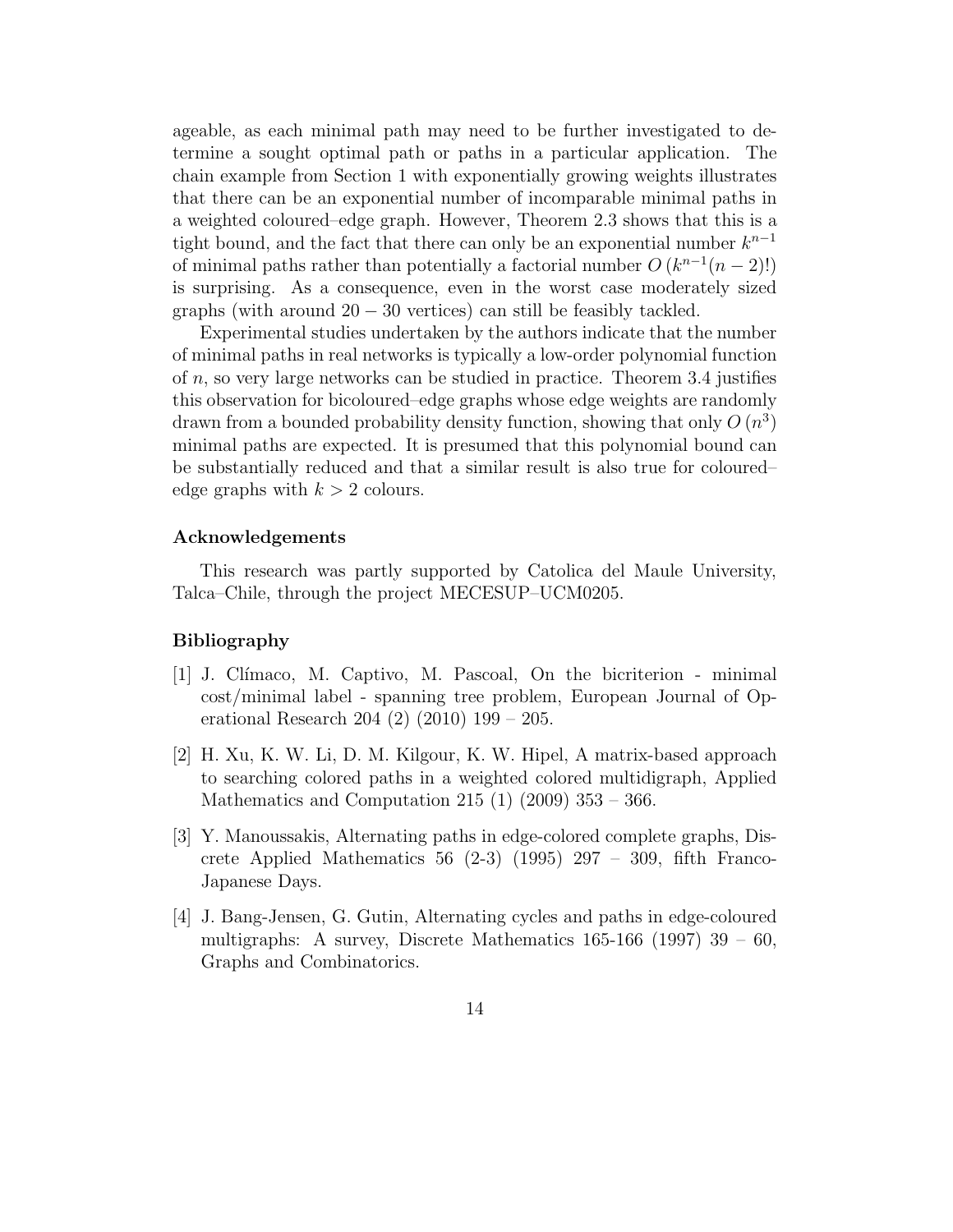ageable, as each minimal path may need to be further investigated to determine a sought optimal path or paths in a particular application. The chain example from Section 1 with exponentially growing weights illustrates that there can be an exponential number of incomparable minimal paths in a weighted coloured–edge graph. However, Theorem 2.3 shows that this is a tight bound, and the fact that there can only be an exponential number  $k^{n-1}$ of minimal paths rather than potentially a factorial number  $O(k^{n-1}(n-2)!)$ is surprising. As a consequence, even in the worst case moderately sized graphs (with around  $20 - 30$  vertices) can still be feasibly tackled.

Experimental studies undertaken by the authors indicate that the number of minimal paths in real networks is typically a low-order polynomial function of n, so very large networks can be studied in practice. Theorem 3.4 justifies this observation for bicoloured–edge graphs whose edge weights are randomly drawn from a bounded probability density function, showing that only  $O(n^3)$ minimal paths are expected. It is presumed that this polynomial bound can be substantially reduced and that a similar result is also true for coloured– edge graphs with  $k > 2$  colours.

## **Acknowledgements**

This research was partly supported by Catolica del Maule University, Talca–Chile, through the project MECESUP–UCM0205.

### **Bibliography**

- [1] J. Clímaco, M. Captivo, M. Pascoal, On the bicriterion minimal cost/minimal label - spanning tree problem, European Journal of Operational Research 204 (2) (2010) 199 – 205.
- [2] H. Xu, K. W. Li, D. M. Kilgour, K. W. Hipel, A matrix-based approach to searching colored paths in a weighted colored multidigraph, Applied Mathematics and Computation 215 (1)  $(2009)$  353 – 366.
- [3] Y. Manoussakis, Alternating paths in edge-colored complete graphs, Discrete Applied Mathematics 56  $(2-3)$   $(1995)$  297 – 309, fifth Franco-Japanese Days.
- [4] J. Bang-Jensen, G. Gutin, Alternating cycles and paths in edge-coloured multigraphs: A survey, Discrete Mathematics  $165-166$  (1997)  $39-60$ , Graphs and Combinatorics.